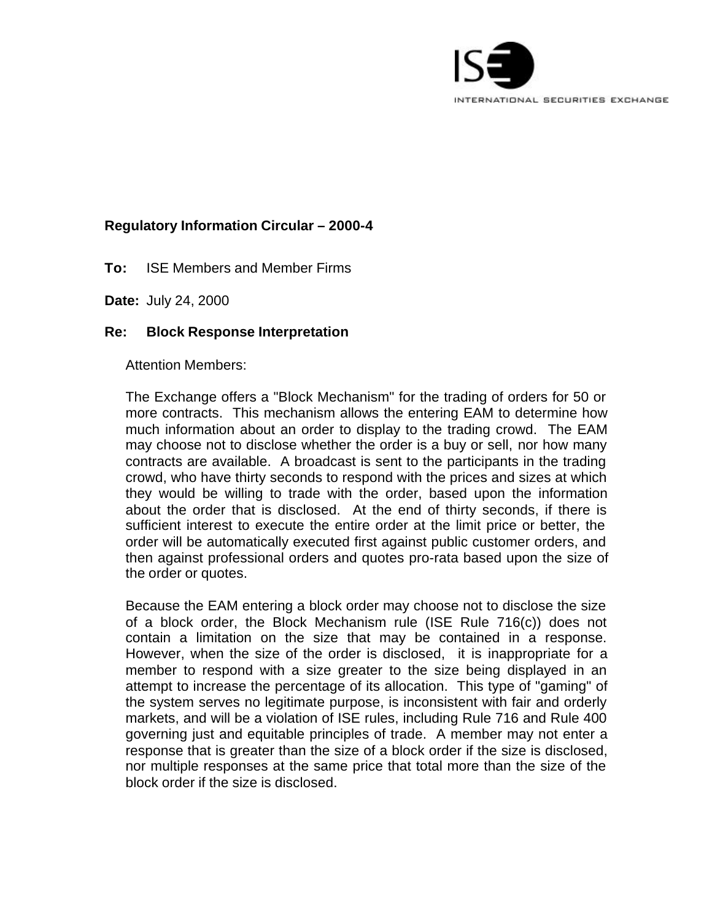

## **Regulatory Information Circular – 2000-4**

**To:** ISE Members and Member Firms

**Date:** July 24, 2000

## **Re: Block Response Interpretation**

Attention Members:

The Exchange offers a "Block Mechanism" for the trading of orders for 50 or more contracts. This mechanism allows the entering EAM to determine how much information about an order to display to the trading crowd. The EAM may choose not to disclose whether the order is a buy or sell, nor how many contracts are available. A broadcast is sent to the participants in the trading crowd, who have thirty seconds to respond with the prices and sizes at which they would be willing to trade with the order, based upon the information about the order that is disclosed. At the end of thirty seconds, if there is sufficient interest to execute the entire order at the limit price or better, the order will be automatically executed first against public customer orders, and then against professional orders and quotes pro-rata based upon the size of the order or quotes.

Because the EAM entering a block order may choose not to disclose the size of a block order, the Block Mechanism rule (ISE Rule 716(c)) does not contain a limitation on the size that may be contained in a response. However, when the size of the order is disclosed, it is inappropriate for a member to respond with a size greater to the size being displayed in an attempt to increase the percentage of its allocation. This type of "gaming" of the system serves no legitimate purpose, is inconsistent with fair and orderly markets, and will be a violation of ISE rules, including Rule 716 and Rule 400 governing just and equitable principles of trade. A member may not enter a response that is greater than the size of a block order if the size is disclosed, nor multiple responses at the same price that total more than the size of the block order if the size is disclosed.